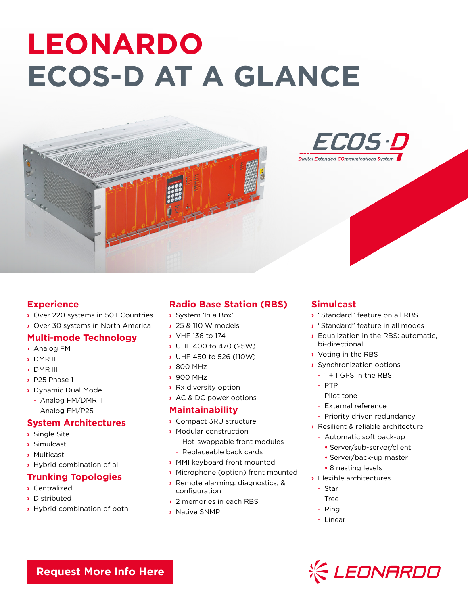# **LEONARDO ECOS-D AT A GLANCE**





#### **Experience**

- **›** Over 220 systems in 50+ Countries
- **›** Over 30 systems in North America

#### **Multi-mode Technology**

- **›** Analog FM
- **›** DMR II
- **›** DMR III
- **›** P25 Phase 1
- **›** Dynamic Dual Mode
- Analog FM/DMR II
- Analog FM/P25

#### **System Architectures**

- **›** Single Site
- **›** Simulcast
- **›** Multicast
- **›** Hybrid combination of all

## **Trunking Topologies**

- **›** Centralized
- **›** Distributed
- **›** Hybrid combination of both

# **Radio Base Station (RBS)**

- **›** System 'In a Box'
- **›** 25 & 110 W models
- **›** VHF 136 to 174
- **›** UHF 400 to 470 (25W)
- **›** UHF 450 to 526 (110W)
- **›** 800 MHz
- **›** 900 MHz
- **›** Rx diversity option
- **›** AC & DC power options

#### **Maintainability**

- **›** Compact 3RU structure
- **›** Modular construction
	- Hot-swappable front modules
	- Replaceable back cards
- **›** MMI keyboard front mounted
- **›** Microphone (option) front mounted
- **›** Remote alarming, diagnostics, & configuration
- **›** 2 memories in each RBS
- **›** Native SNMP

## **Simulcast**

- **›** "Standard" feature on all RBS
- **›** "Standard" feature in all modes
- **›** Equalization in the RBS: automatic, bi-directional
- **›** Voting in the RBS
- **›** Synchronization options
	- 1 + 1 GPS in the RBS
- PTP
- Pilot tone
- External reference
- Priority driven redundancy
- **›** Resilient & reliable architecture
	- Automatic soft back-up
		- **•** Server/sub-server/client
		- **•** Server/back-up master
		- **•** 8 nesting levels
- **›** Flexible architectures
	- Star
	- Tree
	- Ring
	- Linear



**[Request More Info Here](https://www.leonardocompany-us.com/lmr/lmr-digital-brochures)**